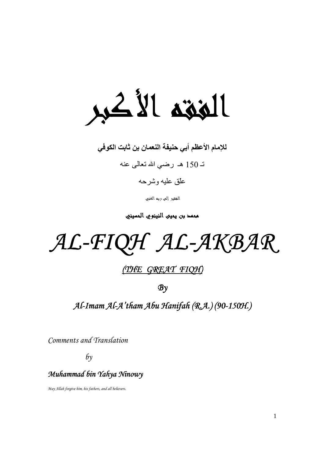الغقة الأكبر

للإمام الأعظم أبي حنيفة النعمان بن ثابت الكوفي

تـ 150 هـ رضـي الله تعالـي عنه

#### علّق عليه وشرحه

الغقير إلىي ربه الغنيي

معمد بن يعيى النينوي العسيني

AL-FIQH AL-AKBAR

#### (THE GREAT FIQH)

 $\mathcal{B} \gamma$ 

Al-Imam Al-A'tham Abu Hanifah (R.A.) (90-150H.)

Comments and Translation

 $\delta y$ 

#### Muhammad bin Yahya Ninowy

May Allah forgive him, his fathers, and all believers.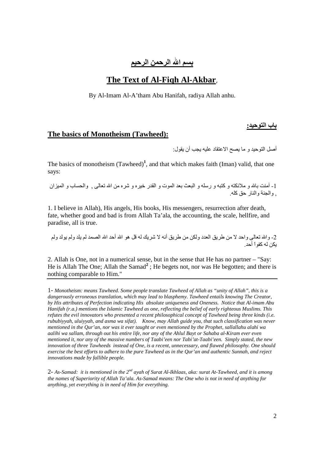سم الله الرحمن الرحيم

#### The Text of Al-Figh Al-Akbar,

By Al-Imam Al-A'tham Abu Hanifah, radiya Allah anhu.

#### The basics of Monotheism (Tawheed):

أصل التوحيد و ما يصح الاعتقاد عليه يجب أن يقول:

باب التوحيد:

The basics of monotheism  $(Tawheed)^1$ , and that which makes faith (Iman) valid, that one savs:

1- أمنت بالله و ملائكته و كتبه و رسله و البعث بعد الموت و القدر خيره و شره من الله تعالى ¸ والحساب و الميزان و الجنة والنار حق كله.

1. I believe in Allah), His angels, His books, His messengers, resurrection after death, fate, whether good and bad is from Allah Ta'ala, the accounting, the scale, hellfire, and paradise, all is true.

2- والله تعالى واحد لا من طريق العدد ولكن من طريق أنه لا شريك له قل هو الله أحد الله الصمد لم يلد ولم يولد ولم يكن له كفواً أحد

2. Allah is One, not in a numerical sense, but in the sense that He has no partner – "Say: He is Allah The One; Allah the Samad<sup>2</sup>; He begets not, nor was He begotten; and there is nothing comparable to Him."

1- Monotheism: means Tawheed. Some people translate Tawheed of Allah as "unity of Allah", this is a dangerously erroneous translation, which may lead to blasphemy. Tawheed entails knowing The Creator, by His attributes of Perfection indicating His absolute uniqueness and Oneness. Notice that Al-imam Abu Hanifah (r.a.) mentions the Islamic Tawheed as one, reflecting the belief of early righteous Muslims. This refutes the evil innovators who presented a recent philosophical concept of Tawheed being three kinds (i.e. rububiyyah, uluiyyah, and asma wa sifat). Know, may Allah guide you, that such classification was never mentioned in the Qur'an, nor was it ever taught or even mentioned by the Prophet, sallallahu alahi wa aalihi wa sallam, through out his entire life, nor any of the Ahlul Bayt or Sahaba al-Kiram ever even mentioned it, nor any of the massive numbers of Taabi'een nor Tabi'at-Taabi'een. Simply stated, the new innovation of three Tawheeds instead of One, is a recent, unnecessary, and flawed philosophy. One should exercise the best efforts to adhere to the pure Tawheed as in the Our'an and authentic Sunnah, and reject innovations made by fallible people.

2- As-Samad: it is mentioned in the  $2^{nd}$  ayah of Surat Al-Ikhlaas, aka: surat At-Tawheed, and it is among the names of Superiority of Allah Ta'ala. As-Samad means: The One who is not in need of anything for anything, yet everything is in need of Him for everything.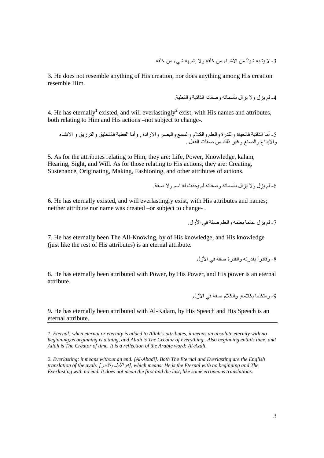3- لا يشبه شبنًا من الأشباء من خلقه و لا يشبهه شيء من خلقه.

3. He does not resemble anything of His creation, nor does anything among His creation resemble Him.

4- لم بز ل و لا بز ال بأسمائه و صفاته الذاتبة و الفعلبة

4. He has eternally<sup>1</sup> existed, and will everlastingly<sup>2</sup> exist, with His names and attributes. both relating to Him and His actions –not subject to change-.

5- أما الذاتية فالحياة والقدرة والعلم والكلام والسمع والبصر والارادة ¸ وأما الفعلية فالتخليق والترزيق و الانشاء<br>والابداع والصنع وغير ذلك من صفات الفعل .

5. As for the attributes relating to Him, they are: Life, Power, Knowledge, kalam, Hearing, Sight, and Will. As for those relating to His actions, they are: Creating, Sustenance, Originating, Making, Fashioning, and other attributes of actions.

6- لم بز ل و لا بز ال بأسمائه و صفاته لم بحدث له اسم و لا صفة ٍ

6. He has eternally existed, and will everlastingly exist, with His attributes and names; neither attribute nor name was created -or subject to change-.

7. He has eternally been The All-Knowing, by of His knowledge, and His knowledge (just like the rest of His attributes) is an eternal attribute.

8. He has eternally been attributed with Power, by His Power, and His power is an eternal attribute.

9- ومتكلما بكلامه. والكلام صفة في الأز ل.

9. He has eternally been attributed with Al-Kalam, by His Speech and His Speech is an eternal attribute.

1. Eternal: when eternal or eternity is added to Allah's attributes, it means an absolute eternity with no beginning, as beginning is a thing, and Allah is The Creator of everything. Also beginning entails time, and Allah is The Creator of time. It is a reflection of the Arabic word: Al-Azali.

2. Everlasting: it means without an end. [Al-Abadi]. Both The Eternal and Everlasting are the English translation of the ayah: [مو الأول والآخر], which means: He is the Eternal with no beginning and The Everlasting with no end. It does not mean the first and the last, like some erroneous translations.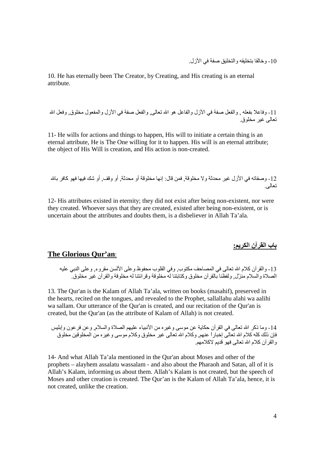10 - وخالقا بتخليقه و التخليق صفة في الأز ل

10. He has eternally been The Creator, by Creating, and His creating is an eternal attribute.

11- وفاعلا بفعله , والفعل صفة في الأز ل والفاعل هو الله تعالى, والفعل صفة في الأز ل والمفعول مخلوق , وفعل الله تعالى غير مخلوق

11- He wills for actions and things to happen, His will to initiate a certain thing is an eternal attribute. He is The One willing for it to happen. His will is an eternal attribute: the object of His Will is creation, and His action is non-created.

12- وصفاته في الأزل غير محدثة ولا مخلوقة. فمن قال: إنها مخلوقة أو محدثة. أو وقف. أو شك فيها فهو كافر بالله تعالمي

12- His attributes existed in eternity: they did not exist after being non-existent, nor were they created. Whoever says that they are created, existed after being non-existent, or is uncertain about the attributes and doubts them, is a disbeliever in Allah Ta'ala.

باب القرآن الكريم<u>.</u>

#### The Glorious Our'an:

13- والقر آن كلام الله تعالى في المصـاحف مكتوب ٍ وفي القلوب محفوظ و على الألسن مقروء ٍ و على النبي عليه<br>الصـلاة والسلام منزّل ٍ ولفظنا بالقر آن مخلوق وكتابتنا له مخلوقة وقر ائتنا له مخلوقة والقر آن غير مخلوق ِ

13. The Qur'an is the Kalam of Allah Ta'ala, written on books (masahif), preserved in the hearts, recited on the tongues, and revealed to the Prophet, sallallahu alahi wa aalihi wa sallam. Our utterance of the Qur'an is created, and our recitation of the Qur'an is created, but the Our'an (as the attribute of Kalam of Allah) is not created.

14- وما ذكر الله تعالى في القر أن حكاية عن موسى وغير ه من الأنبياء عليهم الصلاة والسلام. وعن فرعون وإبليس فإن ذلك كله كلام الله تعالى إخباراً عنهم, وكلام الله تعالى غير مخلوق وكلام موسى وغيره من المخلوقين مخلوق و القر أن كلام الله تعالى فهو قديم لاكلامهم

14- And what Allah Ta'ala mentioned in the Qur'an about Moses and other of the prophets – alayhem assalatu wassalam - and also about the Pharaoh and Satan, all of it is Allah's Kalam, informing us about them. Allah's Kalam is not created, but the speech of Moses and other creation is created. The Qur'an is the Kalam of Allah Ta'ala, hence, it is not created, unlike the creation.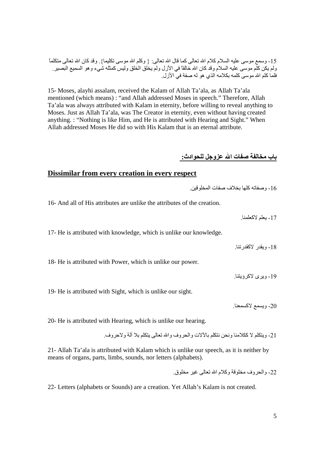15 ـ وسمع موسى عليه السلام كلام الله تعالى كما قال الله تعالى: { وكلم الله موسى نكليما} ٍ وقد كان الله تعالى متكلمًا ولم يكن كلم موسى عليه السلام وقد كان الله خالقًا في الأزل ولم يخلق الخلق وليس كمثله شيء و هو السميع البصير <sub>.</sub> فلما كلم الله موسى كلمه بكلامه الذي هو له صفة في الأزل.

15- Moses, alayhi assalam, received the Kalam of Allah Ta'ala, as Allah Ta'ala mentioned (which means) : "and Allah addressed Moses in speech." Therefore, Allah Ta'ala was always attributed with Kalam in eternity, before willing to reveal anything to Moses. Just as Allah Ta'ala, was The Creator in eternity, even without having created anything. : "Nothing is like Him, and He is attributed with Hearing and Sight." When Allah addressed Moses He did so with His Kalam that is an eternal attribute.

باب مخالفة صفات الله عزوجل للحوادث:\_

#### **Dissimilar from every creation in every respect**

16- و,L آO 4;[ف ,Lت ا3]G./

16- And all of His attributes are unlike the attributes of the creation.

17- بعلم لاكعلمنا

17- He is attributed with knowledge, which is unlike our knowledge.

18- ويقدر الاكقدر تنا.

18- He is attributed with Power, which is unlike our power.

19- ويرى لاكر ؤيتنا.

19- He is attributed with Sight, which is unlike our sight.

20- ويسمع لاكسمعنا

20- He is attributed with Hearing, which is unlike our hearing.

21- و9%F & آ9;( وBI/ I9%F 4d&ت واBوف وا 
 9%F 4= ;C و&وف.

21- Allah Ta'ala is attributed with Kalam which is unlike our speech, as it is neither by means of organs, parts, limbs, sounds, nor letters (alphabets).

22- والحروف مخلوقة وكلام الله تعالى غير مخلوق.

22- Letters (alphabets or Sounds) are a creation. Yet Allah's Kalam is not created.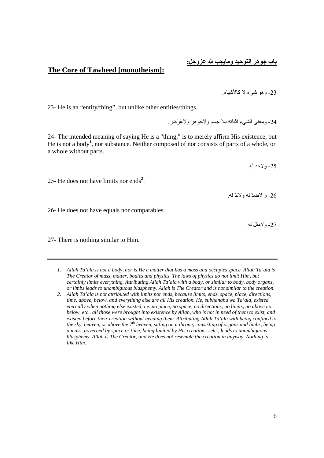#### باب جوهر التوحيد ومايجب لله ع<u>زوجل:</u>

23- و هو شيء لا كالأشياء.

#### **The Core of Tawheed [monotheism]:**

23- He is an "entity/thing", but unlike other entities/things.

24- ومعنى الشيء اثباته بلا جسم ولاجو هر ولاعَرَض

24- The intended meaning of saying He is a "thing," is to merely affirm His existence, but He is not a body**<sup>1</sup>** , nor substance. Neither composed of nor consists of parts of a whole, or a whole without parts.

25- ولاحد له.

25- He does not have limits nor ends**<sup>2</sup>** .

26- و لاضدٌ له ولاندٌ له ٍ

26- He does not have equals nor comparables.

27- و لامثل له.

27- There is nothing similar to Him.

- *1. Allah Ta'ala is not a body, nor is He a matter that has a mass and occupies space. Allah Ta'ala is The Creator of mass, matter, bodies and physics. The laws of physics do not limit Him, but certainly limits everything. Attributing Allah Ta'ala with a body, or similar to body, body organs, or limbs leads to unambiguous blasphemy. Allah is The Creator and is not similar to the creation.*
- *2. Allah Ta'ala is not attributed with limits nor ends, because limits, ends, space, place, directions, time, above, below, and everything else are all His creation. He, subhanahu wa Ta'ala, existed eternally when nothing else existed, i.e. no place, no space, no directions, no limits, no above no below, etc.. all those were brought into existence by Allah, who is not in need of them to exist, and existed before their creation without needing them. Attributing Allah Ta'ala with being confined to the sky, heaven, or above the 7th heaven, sitting on a throne, consisting of organs and limbs, being a mass, governed by space or time, being limited by His creation….etc., leads to unambiguous blasphemy. Allah is The Creator, and He does not resemble the creation in anyway. Nothing is like Him.*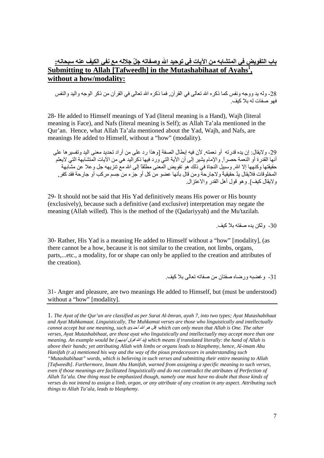#### باب التفويض في المتشابه من الآيات في توحيد الله وصفاته جلِّ جلاله مع نفي الكيف عنه سبحانه: Submitting to Allah [Tafweedh] in the Mutashabihaat of Ayahs<sup>1</sup>, without a how/modality:

28- وله يد ووجه ونفس كما ذكره الله تعالى في القرآن فما ذكره الله تعالى في القرآن من ذكر الوجه والبد والنفس فهو صفات له بلا كيف

28- He added to Himself meanings of Yad (literal meaning is a Hand), Wajh (literal meaning is Face), and Nafs (literal meaning is Self); as Allah Ta'ala mentioned in the Our'an. Hence, what Allah Ta'ala mentioned about the Yad, Wajh, and Nafs, are meanings He added to Himself, without a "how" (modality).

29- ولايقال: إن يده قدرته أو نعمته. لأن فيه إبطال الصفة [وهذا رد على من أر اد تحديد معنى اليد وتفسير ها على أنها القدرة أو النعمة حصر ل والإمام يشير إلى أن الآية التي ورد فيها ذكر اليد هي من الآيات المتشابهة التي لايعلم حقيقتها وكنهها إلا الله وسبيل النجاة في ذلك هو تفويض المعنى مطلقاً إلى الله مع تنزيهه جل وعلا عن مشابهة المخلوقات فلايقال يدٌ حقيقيةٌ ولاجارحةٌ ومن قال بأنّها عضو من كل أو جزء من جسم مركب أو جارحة فقد كفر ٍ و لابقال كبف] و هو قول أهل القدر و الاعتز ال

29- It should not be said that His Yad definitively means His power or His bounty (exclusively), because such a definitive (and exclusive) interpretation may negate the meaning (Allah willed). This is the method of the (Qadariyyah) and the Mu'tazilah.

30- ولكن بده صفته بلا كيف

30- Rather, His Yad is a meaning He added to Himself without a "how" [modality], (as there cannot be a how, because it is not similar to the creation, not limbs, organs, parts,...etc., a modality, for or shape can only be applied to the creation and attributes of the creation).

31- وغضبه ورضاه صفتان من صفاته تعالى بلاكيف.

31- Anger and pleasure, are two meanings He added to Himself, but (must be understood) without a "how" [modality].

1. The Ayat of the Qur'an are classified as per Surat Al-Imran, ayah 7, into two types; Ayat Mutashabihaat and Ayat Muhkamaat. Linguistically, The Muhkamat verses are those who linguistically and intellectually cannot accept but one meaning, such as يقل هو الله أحد which can only mean that Allah is One. The other verses, Ayat Mutashabihaat, are those ayat who linguistically and intellectually may accept more than one meaning. An example would be (بد الله فوق أبديهم) which means if translated literally: the hand of Allah is above their hands; yet attributing Allah with limbs or organs leads to blasphemy, hence, Al-imam Abu Hanifah  $(r.a)$  mentioned his way and the way of the pious predecessors in understanding such "Mutashabihaat" words, which is believing in such verses and submitting their entire meaning to Allah [Tafweedh]. Furthermore, Imam Abu Hanifah, warned from assigning a specific meaning to such verses, even if those meanings are facilitated linguistically and do not contradict the attributes of Perfection of Allah Ta'ala. One thing must be emphasized though, namely one must have no doubt that those kinds of verses do not intend to assign a limb, organ, or any attribute of any creation in any aspect. Attributing such

things to Allah Ta'ala, leads to blasphemy.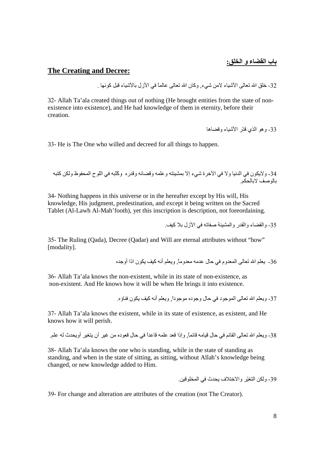#### **The Creating and Decree:**

32- خلق الله تعالى الأشباء لامن شيء. وكان الله تعالى عالمًا في الأز ل بالأشباء قبل كو نها .

32- Allah Ta'ala created things out of nothing (He brought entities from the state of nonexistence into existence), and He had knowledge of them in eternity, before their creation.

33- وهو الذي قدّر الأشباء وقضاها

33- He is The One who willed and decreed for all things to happen.

34- ولايكون في الدنيا ولا في الأخرة شيء إلا بمشيئته وعلمه وقضائه وقدره وكَثبه في اللوح المحفوظ ولكن كتبه باله صف لابالحكم

34- Nothing happens in this universe or in the hereafter except by His will, His knowledge, His judgment, predestination, and except it being written on the Sacred Tablet (Al-Lawh Al-Mah'footh), yet this inscription is description, not foreordaining.

35- والقضاء والقدر والمشيئة صفاته في الأزل بلا كيف

35- The Ruling (Qada), Decree (Qadar) and Will are eternal attributes without "how" [modality].

36- يعلم الله تعالى المعدوم في حال عدمه معدوماً ويعلم أنه كيف بكون إذا أوجده

36- Allah Ta'ala knows the non-existent, while in its state of non-existence, as non-existent. And He knows how it will be when He brings it into existence.

۔<br>37- ويعلّم الله تعالى الموجود في حال وجوده موجوداً وبعلم أنه كيف بكون فناؤه

37- Allah Ta'ala knows the existent, while in its state of existence, as existent, and He knows how it will perish.

38- ويعلم الله تعالى القائم في حال قيامه قائماً, وإذا قعد علمه قاعداً في حال قعوده من غير أن يتغير أويحدث له علم

38- Allah Ta'ala knows the one who is standing, while in the state of standing as standing, and when in the state of sitting, as sitting, without Allah's knowledge being changed, or new knowledge added to Him.

39- ولكن التغيّر والاختلاف يحدث في المخلو قين.

39- For change and alteration are attributes of the creation (not The Creator).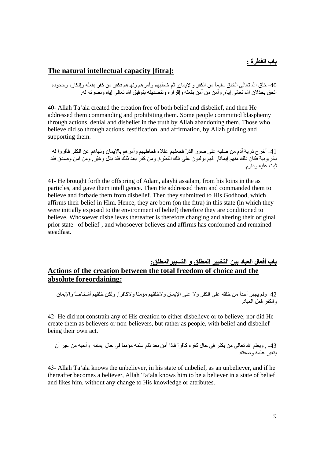#### The natural intellectual capacity [fitra]:

40- خلق الله تعالى الخلق سليماً من الكفر والإيمان٬ ثم خاطبهم وأمر هم ونهاهم فكفر من كفر بفعله وإنكاره وجحوده الحق بخذلان الله تعالى إياه ٍ و آمن من آمن بفعله و إفر ار ه و تتصديقه بتوفيق الله تعالى إياه و نصر ته له

40- Allah Ta'ala created the creation free of both belief and disbelief, and then He addressed them commanding and prohibiting them. Some people committed blasphemy through actions, denial and disbelief in the truth by Allah abandoning them. Those who believe did so through actions, testification, and affirmation, by Allah guiding and supporting them.

41- أخرج ذرية أدم من صلبه على صور الذرّ فجعلهم عقلاء فخاطبهم وأمر هم بالإيمان ونهاهم عن الكفر فأقروا له بالربوبية فكان ذلك منهم إيماناً فهم يولدون على نلك الفطرة, ومن كفر بعد ذلك فقد بدّل وغيّر , ومن آمن وصدق فقد ثبت عليه وداوم

41- He brought forth the offspring of Adam, alayhi assalam, from his loins in the as particles, and gave them intelligence. Then He addressed them and commanded them to believe and forbade them from disbelief. Then they submitted to His Godhood, which affirms their belief in Him. Hence, they are born (on the fitra) in this state (in which they were initially exposed to the environment of belief) therefore they are conditioned to believe. Whosoever disbelieves thereafter is therefore changing and altering their original prior state –of belief-, and whosoever believes and affirms has conformed and remained steadfast.

#### باب أفعال العباد بين التخيير المطلق و التسبيرالمطلق: Actions of the creation between the total freedom of choice and the absolute foreordaining:

42- ولم يجبر أحداً من خلقه على الكفر ولا على الإيمان ولاخلقهم مؤمناً ولاكافراً, ولكن خلقهم أشخاصاً والإيمان والكفر فعل العباد

42- He did not constrain any of His creation to either disbelieve or to believe; nor did He create them as believers or non-believers, but rather as people, with belief and disbelief being their own act.

#### 43- , ويعلم الله تعالى من يكفر في حال كفر ه كافر أ فإذا آمن بعد ذلم علمه مؤمناً في حال إيمانه و أحبه من غير أن بتغبر علمه وصفته

43- Allah Ta'ala knows the unbeliever, in his state of unbelief, as an unbeliever, and if he thereafter becomes a believer, Allah Ta'ala knows him to be a believer in a state of belief and likes him, without any change to His knowledge or attributes.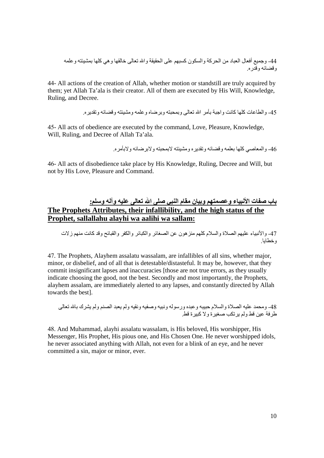44- وجميع أفعال العباد من الحركة والسكون كسبهم على الحقيقة والله تعالى خالقها وهي كلها بمشيئته وعلمه<br>وقضائه وقدره

44- All actions of the creation of Allah, whether motion or standstill are truly acquired by them; yet Allah Ta'ala is their creator. All of them are executed by His Will, Knowledge, Ruling, and Decree.

45- و الطاعات كلها كانت و اجبة بأمر الله تعالى و بمحبته و بر ضياه و علمه و مشبئته و قضائه و تقدير م

45- All acts of obedience are executed by the command, Love, Pleasure, Knowledge, Will, Ruling, and Decree of Allah Ta'ala.

46- و المعاصبي كلها بعلمه و قضائه و تقدير ه و مشيئته لابمحيته و لاير ضائه و لابأمر م

46- All acts of disobedience take place by His Knowledge, Ruling, Decree and Will, but not by His Love, Pleasure and Command.

### باب صفات الأنبياء وعصمتهم وبيان مقام النبي صلى الله تعالى عليه وآله وسلم:<br>The Prophets Attributes, their infallibility, and the high status of the Prophet, sallallahu alayhi wa aalihi wa sallam:

47- والأنبياء عليهم الصلاة والسلام كلهم منز هون عن الصغائر والكبائر والكفر والقبائح وقد كانت منهم ز لات وخطابا

47. The Prophets, Alayhem assalatu wassalam, are infallibles of all sins, whether major, minor, or disbelief, and of all that is detestable/distasteful. It may be, however, that they commit insignificant lapses and inaccuracies [those are not true errors, as they usually indicate choosing the good, not the best. Secondly and most importantly, the Prophets, alayhem assalam, are immediately alerted to any lapses, and constantly directed by Allah towards the best].

48- ومحمد عليه الصلاة والسلام حبيبه وعبده ورسوله ونبيه وصفيه ونقيه ولم يعبد الصنم ولم يشرك بالله تعالى<br>طرفة عين قط ولم يرتكب صغيرة ولا كبيرة قط

48. And Muhammad, alayhi assalatu wassalam, is His beloved, His worshipper, His Messenger, His Prophet, His pious one, and His Chosen One. He never worshipped idols, he never associated anything with Allah, not even for a blink of an eye, and he never committed a sin, major or minor, ever.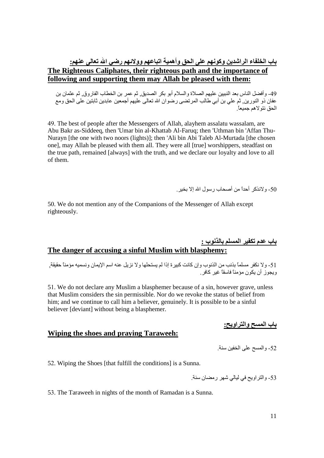#### باب الخلفاء الراشدين وكونهم على الحق وأهمية اتباعهم وولائهم رضى الله تعالى عنهم: The Righteous Caliphates, their righteous path and the importance of following and supporting them may Allah be pleased with them:

49- و أفضل الناس بعد النبيين عليهم الصلاة والسلام أبو بكر الصديق ثم عمر بن الخطاب الفاروق. ثم عثمان بن عفان ذو النورين تُم على بن أبي طالب المرتضى رصوان الله تعالى عليهم أجمعين عابدين ثابتين على الحق ومع الحق نتو لاهم جميعاً

49. The best of people after the Messengers of Allah, alayhem assalatu wassalam, are Abu Bakr as-Siddeeq, then 'Umar bin al-Khattab Al-Faruq; then 'Uthman bin 'Affan Thu-Nurayn [the one with two noors (lights)]; then 'Ali bin Abi Taleb Al-Murtada [the chosen one], may Allah be pleased with them all. They were all [true] worshippers, steadfast on the true path, remained [always] with the truth, and we declare our lovalty and love to all of them.

50- و لانذكر أحداً من أصبحاب رسول الله الا يخبر

50. We do not mention any of the Companions of the Messenger of Allah except righteously.

# باب عدم تكفير المسلم بالذنوب :<br>The danger of accusing a sinful Muslim with blasphemy:

51- ولا نكفر مسلماً بذنب من الذنوب وإن كانت كبيرة إذا لم يستحلها ولا نزيل عنه اسم الإيمان ونسميه مؤمناً حقيقة<sub>,</sub><br>ويجوز أن يكون مؤمناً فاسقاً غير كافر<sub>.</sub>

51. We do not declare any Muslim a blasphemer because of a sin, however grave, unless that Muslim considers the sin permissible. Nor do we revoke the status of belief from him; and we continue to call him a believer, genuinely. It is possible to be a sinful believer [deviant] without being a blasphemer.

<u>باب المسح والتراويح:</u>

#### Wiping the shoes and praying Taraweeh:

52- والمسح على الخفين سنة.

52. Wiping the Shoes [that fulfill the conditions] is a Sunna.

53- والتراويح في ليالي شهر رمضان سنة

53. The Taraweeh in nights of the month of Ramadan is a Sunna.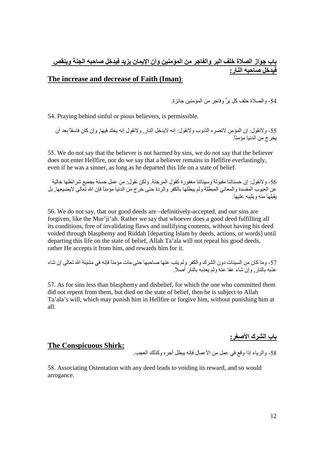## باب جواز الصلاة خلف البر والفاجر من المؤمنين وأن الإيمان يزيد فيدخل صاحبه الجنة وينقص<br>فيدخل صاحبه النار :

#### The increase and decrease of Faith (Iman):

54- و الصـلاة خلف كل برٍ ّ و فاجر ٍ من المؤ منين جائز ة.

54. Praying behind sinful or pious believers, is permissible.

55- ولانقول: إن المؤمن لاتضره الذنوب ولانقول: إنه لايدخل النار, ولانقول إنه يخلد فيها, وإن كان فاسقًا بعد أن يخر ج من الدنيا مؤمناً ِ

55. We do not say that the believer is not harmed by sins, we do not say that the believer does not enter Hellfire, nor do we say that a believer remains in Hellfire everlastingly, even if he was a sinner, as long as he departed this life on a state of belief.

56- ولانقول: إن حسناتنا مقبولة وسيئاتنا مغفورة كقول المرجئة. ولكن نقول: من عمل حسنة بجميع شر ائطها خالية بقلها منه وبثبيه عليها

56. We do not say, that our good deeds are -definitively-accepted, and our sins are forgiven, like the Mur'ji'ah. Rather we say that whoever does a good deed fulfilling all its conditions, free of invalidating flaws and nullifying contents, without having his deed voided through blasphemy and Riddah [departing Islam by deeds, actions, or words] until departing this life on the state of belief, Allah Ta'ala will not repeal his good deeds, rather He accepts it from him, and rewards him for it.

57- وما كان من السيئات دون الشرك والكفر ولم يتب عنها صاحبها حتى مات مؤمناً فإنه في مشيئة الله تعالى إن شاء عذبه بالنار , وإن شاء عفا عنه ولم بعذبه بالنار أصلاً إ

57. As for sins less than blasphemy and disbelief, for which the one who committed them did not repent from them, but died on the state of belief, then he is subject to Allah Ta'ala's will, which may punish him in Hellfire or forgive him, without punishing him at all.

باب الشرك الأصغر <u>.</u>

#### **The Conspicuous Shirk:**

58- والرباء إذا وقع في عمل من الأعمال فإنه ببطل أجر ه وكذلك العجب.

58. Associating Ostentation with any deed leads to voiding its reward, and so would arrogance.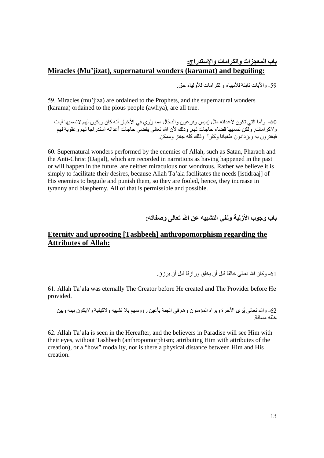### باب المعجزات والكرامات والإستدراج:<br>Miracles (Mu'jizat), supernatural wonders (karamat) and beguiling:

59- و الآبات ثابتة للأنبياء و الكر امات للأو لباء حق

59. Miracles (mu'iiza) are ordained to the Prophets, and the supernatural wonders (karama) ordained to the pious people (awliya), are all true.

60- وأما التي تكون لأعدائه مثل إبليس وفر عون والدجّال مما رُوي في الأخبار أنه كان ويكون لهم لانسميها آيات و لاكر امات. ولَّكن نسميها قضاء حاجات لهم. وذلك لأن الله تعالى يقصيُّ حاجات أعدائه استدر اجاً لهم وعقوبة لهم فيغترون به ويزدادون طغيانا وكفرأ وذلك كُلُّه حائز وممكن

60. Supernatural wonders performed by the enemies of Allah, such as Satan, Pharaoh and the Anti-Christ (Daijal), which are recorded in narrations as having happened in the past or will happen in the future, are neither miraculous nor wondrous. Rather we believe it is simply to facilitate their desires, because Allah Ta'ala facilitates the needs [istidraaj] of His enemies to beguile and punish them, so they are fooled, hence, they increase in tyranny and blasphemy. All of that is permissible and possible.

#### باب وجوب الأزلية ونفي التشبيه عن الله تعالى وصفاته:

#### Eternity and uprooting [Tashbeeh] anthropomorphism regarding the **Attributes of Allah:**

61- وكان الله تعالى خالقاً قبل أن بخلق ور از قاً قبل أن بر ز ق

61. Allah Ta'ala was eternally The Creator before He created and The Provider before He provided.

62- والله تعالى يُرِي الأخرة ويراه المؤمنون وهم في الجنة بأعين رؤوسهم بلا تشبيه ولاكيفية ولايكون بينه وبين خلقه مسافة

62. Allah Ta'ala is seen in the Hereafter, and the believers in Paradise will see Him with their eyes, without Tashbeeh (anthropomorphism; attributing Him with attributes of the creation), or a "how" modality, nor is there a physical distance between Him and His creation.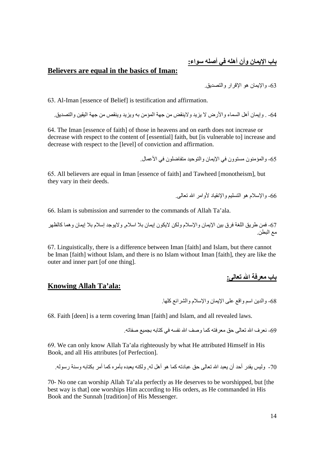#### Believers are equal in the basics of Iman:

63- والإبمان هو الإقرار والتصديق

63. Al-Iman Jessence of Beliefl is testification and affirmation.

64\_ وابمان أهل السماء و الأر ض لا يزيد و لاينقض من جهة المؤمن به ويزيد وينقص من جهة البقين والتصديق

64. The Iman Jessence of faith of those in heavens and on earth does not increase or decrease with respect to the content of [essential] faith, but [is vulnerable to] increase and decrease with respect to the [level] of conviction and affirmation.

65- والمؤمنون مستوون في الإيمان والتوحيد متفاضلون في الأعمال

65. All believers are equal in Iman [essence of faith] and Tawheed [monotheism], but they vary in their deeds.

66- والإسلام هو التسليم والانقباد لأوامر الله تعالم .

66. Islam is submission and surrender to the commands of Allah Ta'ala.

67- فمن طريق اللغة فرق بين الإيمان والإسلام ولكن لايكون إيمان بلا اسلام, ولايوجد إسلام بلا إيمان وهما كالظهر مع البطن ِ

67. Linguistically, there is a difference between Iman [faith] and Islam, but there cannot be Iman [faith] without Islam, and there is no Islam without Iman [faith], they are like the outer and inner part [of one thing].

بـاب مـعرفحة الله تـعالمي:

#### **Knowing Allah Ta'ala:**

68- والدين اسم واقع على الإيمان والإسلام والشر ائع كلها ٍ

68. Faith [deen] is a term covering Iman [faith] and Islam, and all revealed laws.

69- نعرف الله تعالى حق معرفته كما وصف الله نفسه في كتابه بجمبع صفاته

69. We can only know Allah Ta'ala righteously by what He attributed Himself in His Book, and all His attributes [of Perfection].

70- وليس بقدر أحد أن بعيد الله تعالى حق عبادته كما هو أهل له ٍ ولكنه بعيده بأمر ه كما أمر بكتابه وسنة ر سو له

70- No one can worship Allah Ta'ala perfectly as He deserves to be worshipped, but [the best way is that] one worships Him according to His orders, as He commanded in His Book and the Sunnah [tradition] of His Messenger.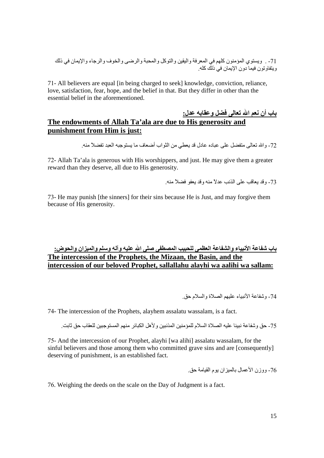71- All believers are equal [in being charged to seek] knowledge, conviction, reliance, love, satisfaction, fear, hope, and the belief in that. But they differ in other than the essential belief in the aforementioned.

### باب أن نعم الله تعالى فضل وعقابه عدل:<br>The endowments of Allah Ta'ala are due to His generosity and punishment from Him is just:

72- و الله تعالى متفضل على عباده عادل قد بعطي من الثو اب أضعاف ما بستو جبه العبد تفضلاً منه ِ

72- Allah Ta'ala is generous with His worshippers, and just. He may give them a greater reward than they deserve, all due to His generosity.

73- وقد بعاقب على الذنب عدلاً منه وقد بعفو فضلاً منه

73- He may punish [the sinners] for their sins because He is Just, and may forgive them because of His generosity.

### باب شفاعة الأنبياء والشفاعة العظمى للحبيب المصطفى صلى الله عليه وآله وسلم والميزان والحوض:<br>The intercession of the Prophets, the Mizaan, the Basin, and the intercession of our beloved Prophet, sallallahu alayhi wa aalihi wa sallam:

74- وشفاعة الأنبياء عليهم الصلاة والسلام حق

74- The intercession of the Prophets, alayhem assalatu wassalam, is a fact.

75- حق وشفاعة نبينا عليه الصلاة السلام للمؤمنين المذنبين ولأهل الكبائر منهم المستوجبين للعقاب حق ثابت

75- And the intercession of our Prophet, alayhi [wa alihi] assalatu wassalam, for the sinful believers and those among them who committed grave sins and are [consequently] deserving of punishment, is an established fact.

76- ووزن الأعمال بالميزان بوم القيامة حق

76. Weighing the deeds on the scale on the Day of Judgment is a fact.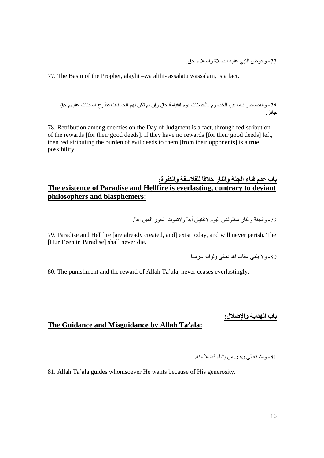77- وحوض النبي عليه الصلاة والسلا م حق.

77. The Basin of the Prophet, alayhi -wa alihi- assalatu wassalam, is a fact.

78- والقصاص فيما بين الخصوم بالحسنات يوم القيامة حق وإن لم تكن لهم الحسنات فطرح السيئات عليهم حق حائز

78. Retribution among enemies on the Day of Judgment is a fact, through redistribution of the rewards [for their good deeds]. If they have no rewards [for their good deeds] left, then redistributing the burden of evil deeds to them [from their opponents] is a true possibility.

#### باب عدم فناء الجنة والنار خلافاً للفلاسفة والكفرة: The existence of Paradise and Hellfire is everlasting, contrary to deviant philosophers and blasphemers:

79- والجنة والنار مخلوقتان اليوم لاتفنيان أبدأ و لاتموت الحور العين أبدأ

79. Paradise and Hellfire [are already created, and] exist today, and will never perish. The [Hur I'een in Paradise] shall never die.

80- و لا بِفنے عقاب الله تعالٰے و ثو ابه سر مداً

80. The punishment and the reward of Allah Ta'ala, never ceases everlastingly.

باب الهداية والإضلال<u>:</u>

#### The Guidance and Misguidance by Allah Ta'ala:

81- والله تعالى بهدي من بشاء فضلاً منه

81. Allah Ta'ala guides whomsoever He wants because of His generosity.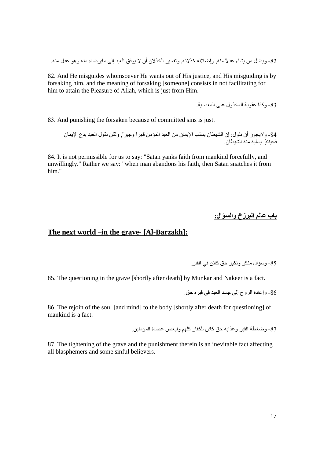82- ويضل من يشاء عدلاً منه<sub>.</sub> وإضلاله خذلانه<sub>.</sub> وتفسير الخذلان أن لا يوفق العبد إلى مايرضاه منه وهو عدل منه<sub>.</sub>

82. And He misguides whomsoever He wants out of His justice, and His misguiding is by forsaking him, and the meaning of forsaking [someone] consists in not facilitating for him to attain the Pleasure of Allah, which is just from Him.

83- وكذا عقوبة المخذول على المعصبة

83. And punishing the forsaken because of committed sins is just.

84- ولايجوز أن نقول: إن الشيطان يسلب الإيمان من العبد المؤمن قهراً وجبراً, ولكن نقول العبد يدع الإيمان<br>فحينئذ يسلبه منه الشيطان

84. It is not permissible for us to say: "Satan yanks faith from mankind forcefully, and unwillingly." Rather we say: "when man abandons his faith, then Satan snatches it from him"

باب عالم البرزخ والسؤال:

#### The next world –in the grave- [Al-Barzakh]:

85- وسؤال منكر ونكير حق كائن في القبر .

85. The questioning in the grave [shortly after death] by Munkar and Nakeer is a fact.

86- وإعادة الروح إلى جسد العبد في قبر ه حق.

86. The rejoin of the soul [and mind] to the body [shortly after death for questioning] of mankind is a fact.

87- وضغطة القبر وعذابه حق كائن للكفار كلهم ولبعض عصاة المؤمنين

87. The tightening of the grave and the punishment therein is an inevitable fact affecting all blasphemers and some sinful believers.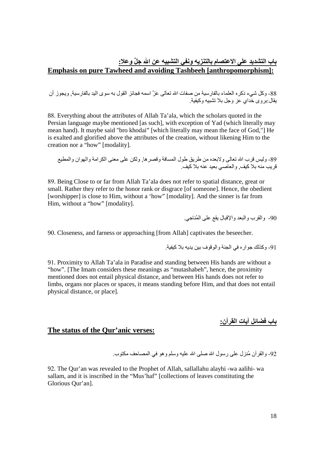### باب التشديد على الاعتصام بالتنزيه ونفى التشبيه عن الله جلَّ وعلا:<br>Emphasis on pure Tawheed and avoiding Tashbeeh [anthropomorphism]:

88- وكل شيء ذكره العلماء بالفارسية من صفات الله تعالمي عَزَّ اسمه فجائز القول به سوى اليد بالفارسية<sub>,</sub> ويجوز أن<br>يقال:بروي خداي عز وجل بلا تشبيه وكيفية<sub>.</sub>

88. Everything about the attributes of Allah Ta'ala, which the scholars quoted in the Persian language maybe mentioned [as such], with exception of Yad (which literally may mean hand). It maybe said "bro khodai" [which literally may mean the face of God,"] He is exalted and glorified above the attributes of the creation, without likening Him to the creation nor a "how" [modality].

89- وليس قرب الله تعالى ولابعده من طريق طول المسافة وقصر ها<sub>,</sub> ولكن على معنى الكرامة والهوان والمطيع<br>قريب منه بلا كيف<sub>,</sub> والعاصيي بعيد عنه بلا كيف

89. Being Close to or far from Allah Ta'ala does not refer to spatial distance, great or small. Rather they refer to the honor rank or disgrace [of someone]. Hence, the obedient [worshipper] is close to Him, without a 'how" [modality]. And the sinner is far from Him, without a "how" [modality].

90- والقرب والبعد والاقبال بقع على المُناجي

90. Closeness, and farness or approaching [from Allah] captivates the beseecher.

.91 و كذلك جو ار ه في الجنة و الو قو ف بين بديه بلا كيفية.

91. Proximity to Allah Ta'ala in Paradise and standing between His hands are without a "how". [The Imam considers these meanings as "mutashabeh", hence, the proximity mentioned does not entail physical distance, and between His hands does not refer to limbs, organs nor places or spaces, it means standing before Him, and that does not entail physical distance, or place].

<u>باب فضائل آيات الفرآن:</u>

#### The status of the Our'anic verses:

92- والقر أن مُنز ل علي رسول الله صلبي الله عليه وسلم و هو في المصباحف مكتوب.

92. The Qur'an was revealed to the Prophet of Allah, sallallahu alayhi -wa aalihi- wa sallam, and it is inscribed in the "Mus'haf" [collections of leaves constituting the Glorious Qur'an].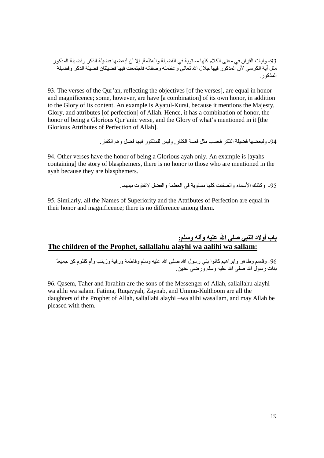93- وأيات القرأن في معنى الكلام كلها مستوية في الفضيلة والعظمة<sub>،</sub> إلا أن لبعضها فضيلة الذكر وفضيلة المذكور مثل أية الكرسي لأن المذكور فيها جلال الله تعالى وعظمته وصفاته فاجتمعت فيها فضبلتان فضبلة الذكر وفضبلة المذكور

93. The verses of the Qur'an, reflecting the objectives [of the verses], are equal in honor and magnificence; some, however, are have [a combination] of its own honor, in addition to the Glory of its content. An example is Ayatul-Kursi, because it mentions the Majesty, Glory, and attributes [of perfection] of Allah. Hence, it has a combination of honor, the honor of being a Glorious Qur'anic verse, and the Glory of what's mentioned in it [the Glorious Attributes of Perfection of Allah].

94- و لبعضها فضبلة الذكر فحسب مثل قصة الكفار ¸ و لبس للمذكو ر فيها فضل و هم الكفار ¸

94. Other verses have the honor of being a Glorious ayah only. An example is [ayahs] containing] the story of blasphemers, there is no honor to those who are mentioned in the ayah because they are blasphemers.

95- وكذلك الأسماء والصفات كلها مستوية في العظمة والفضل لاتفاوت بينهما.

95. Similarly, all the Names of Superiority and the Attributes of Perfection are equal in their honor and magnificence; there is no difference among them.

## باب أولاد النبي صلى الله عليه وآله وسلم:<br>The children of the Prophet, sallallahu alayhi wa aalihi wa sallam:

96- وقاسم وطاهر وابراهيم كانوا بني رسول الله صلى الله عليه وسلم وفاطمة ورقية وزينب وأم كلثوم كن جميعاً بنات رسول الله صلى الله عليه وسلم ورضى عنهن

96. Qasem, Taher and Ibrahim are the sons of the Messenger of Allah, sallallahu alayhi – wa alihi wa salam. Fatima, Rugayyah, Zaynab, and Ummu-Kulthoom are all the daughters of the Prophet of Allah, sallallahi alayhi -wa alihi wasallam, and may Allah be pleased with them.